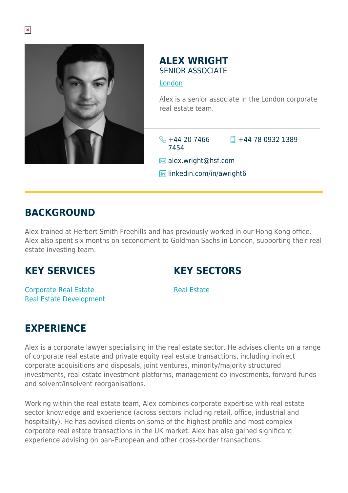

#### **ALEX WRIGHT** SENIOR ASSOCIATE

#### [London](https://www.herbertsmithfreehills.com/where-we-work/london)

Alex is a senior associate in the London corporate real estate team.

 $\frac{1}{2}$  +44 20 7466 7454  $\Box$  +44 78 0932 1389

**■** alex.wright@hsf.com

**lin** linkedin.com/in/awright6

#### **BACKGROUND**

Alex trained at Herbert Smith Freehills and has previously worked in our Hong Kong office. Alex also spent six months on secondment to Goldman Sachs in London, supporting their real estate investing team.

## **KEY SERVICES**

## **KEY SECTORS**

Corporate Real Estate Real Estate Development

Real Estate

# **EXPERIENCE**

Alex is a corporate lawyer specialising in the real estate sector. He advises clients on a range of corporate real estate and private equity real estate transactions, including indirect corporate acquisitions and disposals, joint ventures, minority/majority structured investments, real estate investment platforms, management co-investments, forward funds and solvent/insolvent reorganisations.

Working within the real estate team, Alex combines corporate expertise with real estate sector knowledge and experience (across sectors including retail, office, industrial and hospitality). He has advised clients on some of the highest profile and most complex corporate real estate transactions in the UK market. Alex has also gained significant experience advising on pan-European and other cross-border transactions.